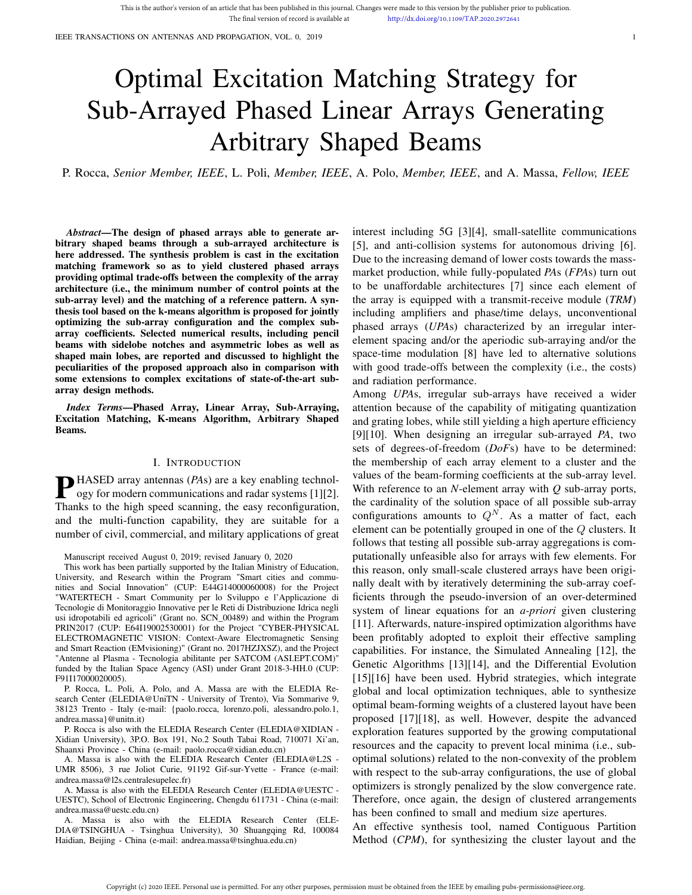IEEE TRANSACTIONS ON ANTENNAS AND PROPAGATION, VOL. 0, 2019 1

# Optimal Excitation Matching Strategy for Sub-Arrayed Phased Linear Arrays Generating Arbitrary Shaped Beams

P. Rocca, *Senior Member, IEEE*, L. Poli, *Member, IEEE*, A. Polo, *Member, IEEE*, and A. Massa, *Fellow, IEEE*

*Abstract*—The design of phased arrays able to generate arbitrary shaped beams through a sub-arrayed architecture is here addressed. The synthesis problem is cast in the excitation matching framework so as to yield clustered phased arrays providing optimal trade-offs between the complexity of the array architecture (i.e., the minimum number of control points at the sub-array level) and the matching of a reference pattern. A synthesis tool based on the k-means algorithm is proposed for jointly optimizing the sub-array configuration and the complex subarray coefficients. Selected numerical results, including pencil beams with sidelobe notches and asymmetric lobes as well as shaped main lobes, are reported and discussed to highlight the peculiarities of the proposed approach also in comparison with some extensions to complex excitations of state-of-the-art subarray design methods.

*Index Terms*—Phased Array, Linear Array, Sub-Arraying, Excitation Matching, K-means Algorithm, Arbitrary Shaped Beams.

## I. INTRODUCTION

**P**HASED array antennas (*PAs*) are a key enabling technology for modern communications and radar systems [1][2]. ogy for modern communications and radar systems [1][2]. Thanks to the high speed scanning, the easy reconfiguration, and the multi-function capability, they are suitable for a number of civil, commercial, and military applications of great

Manuscript received August 0, 2019; revised January 0, 2020

This work has been partially supported by the Italian Ministry of Education, University, and Research within the Program "Smart cities and communities and Social Innovation" (CUP: E44G14000060008) for the Project "WATERTECH - Smart Community per lo Sviluppo e l'Applicazione di Tecnologie di Monitoraggio Innovative per le Reti di Distribuzione Idrica negli usi idropotabili ed agricoli" (Grant no. SCN\_00489) and within the Program PRIN2017 (CUP: E64I19002530001) for the Project "CYBER-PHYSICAL ELECTROMAGNETIC VISION: Context-Aware Electromagnetic Sensing and Smart Reaction (EMvisioning)" (Grant no. 2017HZJXSZ), and the Project "Antenne al Plasma - Tecnologia abilitante per SATCOM (ASI.EPT.COM)" funded by the Italian Space Agency (ASI) under Grant 2018-3-HH.0 (CUP: F91I17000020005).

P. Rocca, L. Poli, A. Polo, and A. Massa are with the ELEDIA Research Center (ELEDIA@UniTN - University of Trento), Via Sommarive 9, 38123 Trento - Italy (e-mail: {paolo.rocca, lorenzo.poli, alessandro.polo.1, andrea.massa}@unitn.it)

P. Rocca is also with the ELEDIA Research Center (ELEDIA@XIDIAN - Xidian University), 3P.O. Box 191, No.2 South Tabai Road, 710071 Xi'an, Shaanxi Province - China (e-mail: paolo.rocca@xidian.edu.cn)

A. Massa is also with the ELEDIA Research Center (ELEDIA@L2S - UMR 8506), 3 rue Joliot Curie, 91192 Gif-sur-Yvette - France (e-mail: andrea.massa@l2s.centralesupelec.fr)

A. Massa is also with the ELEDIA Research Center (ELEDIA@UESTC - UESTC), School of Electronic Engineering, Chengdu 611731 - China (e-mail: andrea.massa@uestc.edu.cn)

A. Massa is also with the ELEDIA Research Center (ELE-DIA@TSINGHUA - Tsinghua University), 30 Shuangqing Rd, 100084 Haidian, Beijing - China (e-mail: andrea.massa@tsinghua.edu.cn)

interest including 5G [3][4], small-satellite communications [5], and anti-collision systems for autonomous driving [6]. Due to the increasing demand of lower costs towards the massmarket production, while fully-populated *PA*s (*FPA*s) turn out to be unaffordable architectures [7] since each element of the array is equipped with a transmit-receive module (*TRM*) including amplifiers and phase/time delays, unconventional phased arrays (*UPA*s) characterized by an irregular interelement spacing and/or the aperiodic sub-arraying and/or the space-time modulation [8] have led to alternative solutions with good trade-offs between the complexity (i.e., the costs) and radiation performance.

Among *UPA*s, irregular sub-arrays have received a wider attention because of the capability of mitigating quantization and grating lobes, while still yielding a high aperture efficiency [9][10]. When designing an irregular sub-arrayed *PA*, two sets of degrees-of-freedom (*DoF*s) have to be determined: the membership of each array element to a cluster and the values of the beam-forming coefficients at the sub-array level. With reference to an *N*-element array with *Q* sub-array ports, the cardinality of the solution space of all possible sub-array configurations amounts to  $Q^N$ . As a matter of fact, each element can be potentially grouped in one of the Q clusters. It follows that testing all possible sub-array aggregations is computationally unfeasible also for arrays with few elements. For this reason, only small-scale clustered arrays have been originally dealt with by iteratively determining the sub-array coefficients through the pseudo-inversion of an over-determined system of linear equations for an *a-priori* given clustering [11]. Afterwards, nature-inspired optimization algorithms have been profitably adopted to exploit their effective sampling capabilities. For instance, the Simulated Annealing [12], the Genetic Algorithms [13][14], and the Differential Evolution [15][16] have been used. Hybrid strategies, which integrate global and local optimization techniques, able to synthesize optimal beam-forming weights of a clustered layout have been proposed [17][18], as well. However, despite the advanced exploration features supported by the growing computational resources and the capacity to prevent local minima (i.e., suboptimal solutions) related to the non-convexity of the problem with respect to the sub-array configurations, the use of global optimizers is strongly penalized by the slow convergence rate. Therefore, once again, the design of clustered arrangements has been confined to small and medium size apertures.

An effective synthesis tool, named Contiguous Partition Method (*CPM*), for synthesizing the cluster layout and the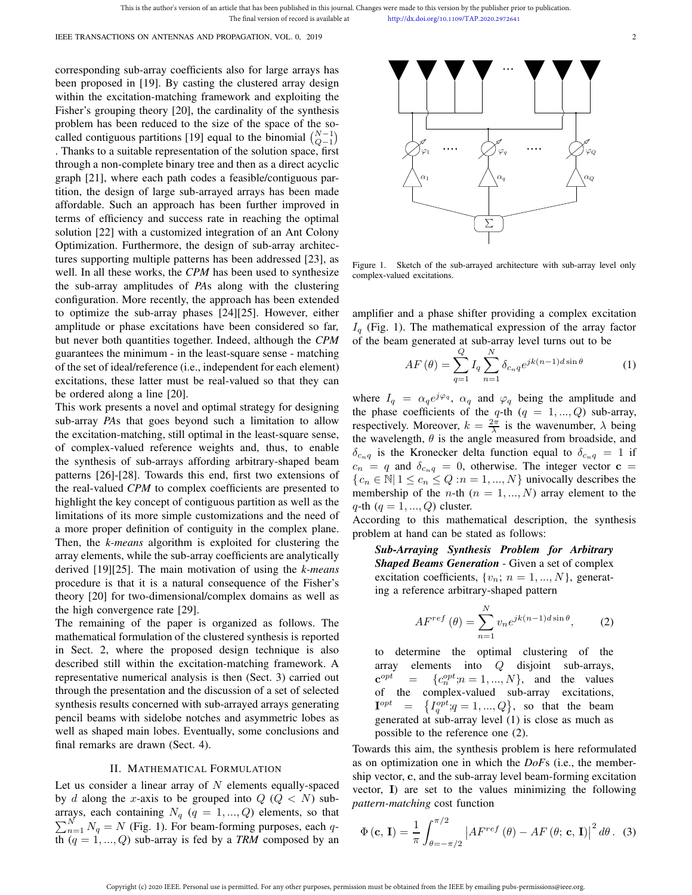corresponding sub-array coefficients also for large arrays has been proposed in [19]. By casting the clustered array design within the excitation-matching framework and exploiting the Fisher's grouping theory [20], the cardinality of the synthesis problem has been reduced to the size of the space of the socalled contiguous partitions [19] equal to the binomial  $\binom{N-1}{Q-1}$ . Thanks to a suitable representation of the solution space, first through a non-complete binary tree and then as a direct acyclic graph [21], where each path codes a feasible/contiguous partition, the design of large sub-arrayed arrays has been made affordable. Such an approach has been further improved in terms of efficiency and success rate in reaching the optimal solution [22] with a customized integration of an Ant Colony Optimization. Furthermore, the design of sub-array architectures supporting multiple patterns has been addressed [23], as well. In all these works, the *CPM* has been used to synthesize the sub-array amplitudes of *PA*s along with the clustering configuration. More recently, the approach has been extended to optimize the sub-array phases [24][25]. However, either amplitude or phase excitations have been considered so far*,* but never both quantities together. Indeed, although the *CPM* guarantees the minimum - in the least-square sense - matching of the set of ideal/reference (i.e., independent for each element) excitations, these latter must be real-valued so that they can be ordered along a line [20].

This work presents a novel and optimal strategy for designing sub-array *PA*s that goes beyond such a limitation to allow the excitation-matching, still optimal in the least-square sense, of complex-valued reference weights and, thus, to enable the synthesis of sub-arrays affording arbitrary-shaped beam patterns [26]-[28]. Towards this end, first two extensions of the real-valued *CPM* to complex coefficients are presented to highlight the key concept of contiguous partition as well as the limitations of its more simple customizations and the need of a more proper definition of contiguity in the complex plane. Then, the *k-means* algorithm is exploited for clustering the array elements, while the sub-array coefficients are analytically derived [19][25]. The main motivation of using the *k-means* procedure is that it is a natural consequence of the Fisher's theory [20] for two-dimensional/complex domains as well as the high convergence rate [29].

The remaining of the paper is organized as follows. The mathematical formulation of the clustered synthesis is reported in Sect. 2, where the proposed design technique is also described still within the excitation-matching framework. A representative numerical analysis is then (Sect. 3) carried out through the presentation and the discussion of a set of selected synthesis results concerned with sub-arrayed arrays generating pencil beams with sidelobe notches and asymmetric lobes as well as shaped main lobes. Eventually, some conclusions and final remarks are drawn (Sect. 4).

### II. MATHEMATICAL FORMULATION

Let us consider a linear array of  $N$  elements equally-spaced by d along the x-axis to be grouped into  $Q$  ( $Q < N$ ) sub- $\sum_{n=1}^{N} N_q = N$  (Fig. 1). For beam-forming purposes, each qarrays, each containing  $N_q$  ( $q = 1, ..., Q$ ) elements, so that th  $(q = 1, ..., Q)$  sub-array is fed by a *TRM* composed by an



Figure 1. Sketch of the sub-arrayed architecture with sub-array level only complex-valued excitations.

amplifier and a phase shifter providing a complex excitation  $I_q$  (Fig. 1). The mathematical expression of the array factor of the beam generated at sub-array level turns out to be

$$
AF(\theta) = \sum_{q=1}^{Q} I_q \sum_{n=1}^{N} \delta_{c_n q} e^{jk(n-1)d\sin\theta}
$$
 (1)

where  $I_q = \alpha_q e^{j\varphi_q}$ ,  $\alpha_q$  and  $\varphi_q$  being the amplitude and the phase coefficients of the q-th  $(q = 1, ..., Q)$  sub-array, respectively. Moreover,  $k = \frac{2\pi}{\lambda}$  is the wavenumber,  $\lambda$  being the wavelength,  $\theta$  is the angle measured from broadside, and  $\delta_{c_nq}$  is the Kronecker delta function equal to  $\delta_{c_nq} = 1$  if  $c_n = q$  and  $\delta_{c_nq} = 0$ , otherwise. The integer vector  $c =$  ${c_n \in \mathbb{N} \mid 1 \leq c_n \leq Q : n = 1, ..., N}$  univocally describes the membership of the *n*-th  $(n = 1, ..., N)$  array element to the  $q$ -th  $(q = 1, ..., Q)$  cluster.

According to this mathematical description, the synthesis problem at hand can be stated as follows:

*Sub-Arraying Synthesis Problem for Arbitrary Shaped Beams Generation* - Given a set of complex excitation coefficients,  $\{v_n; n = 1, ..., N\}$ , generating a reference arbitrary-shaped pattern

$$
AF^{ref}(\theta) = \sum_{n=1}^{N} v_n e^{jk(n-1)d\sin\theta},
$$
 (2)

determine the optimal clustering of the array elements into Q disjoint sub-arrays,  $\mathbf{c}^{opt}$  $e^{opt}$  = { $c_n^{opt}$ ; $n = 1, ..., N$ }, and the values of the complex-valued sub-array excitations,  $\mathbf{I}^{opt}$  $\mathcal{O}^{pt} = \{I^{opt}_q; q = 1, ..., Q\},$  so that the beam generated at sub-array level (1) is close as much as possible to the reference one (2).

Towards this aim, the synthesis problem is here reformulated as on optimization one in which the *DoF*s (i.e., the membership vector, c, and the sub-array level beam-forming excitation vector, I) are set to the values minimizing the following *pattern-matching* cost function

$$
\Phi\left(\mathbf{c},\,\mathbf{I}\right) = \frac{1}{\pi} \int_{\theta=-\pi/2}^{\pi/2} \left|AF^{ref}\left(\theta\right) - AF\left(\theta;\,\mathbf{c},\,\mathbf{I}\right)\right|^2 d\theta\,. \tag{3}
$$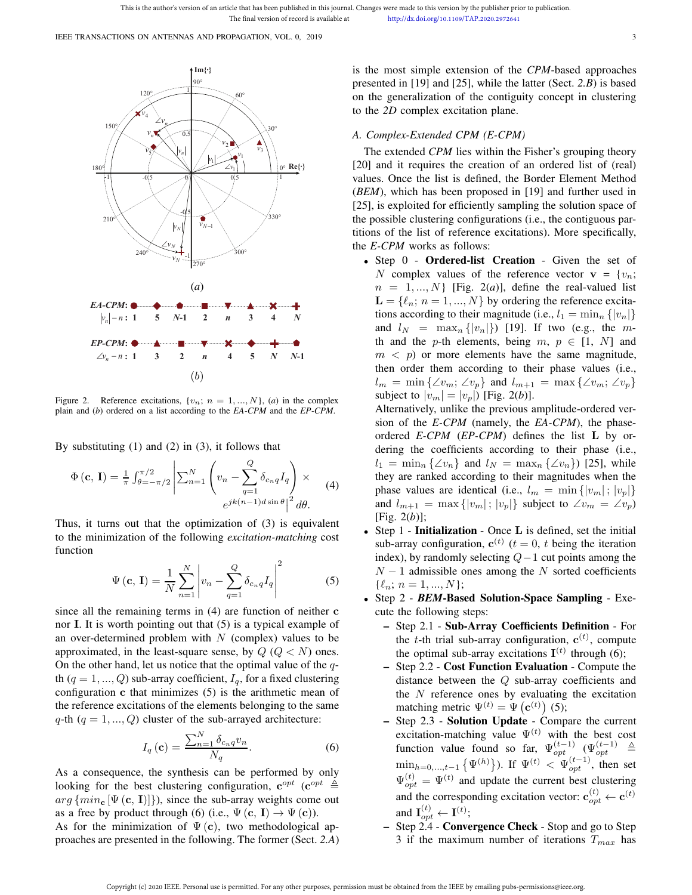

Figure 2. Reference excitations,  $\{v_n; n = 1, ..., N\}$ , (*a*) in the complex plain and (*b*) ordered on a list according to the *EA-CPM* and the *EP-CPM*.

By substituting (1) and (2) in (3), it follows that

$$
\Phi(\mathbf{c}, \mathbf{I}) = \frac{1}{\pi} \int_{\theta=-\pi/2}^{\pi/2} \left| \sum_{n=1}^{N} \left( v_n - \sum_{q=1}^{Q} \delta_{c_n q} I_q \right) \right| \times
$$
  
\n
$$
e^{jk(n-1)d \sin \theta} \Big|^{2} d\theta.
$$
\n(4)

Thus, it turns out that the optimization of (3) is equivalent to the minimization of the following *excitation-matching* cost function

$$
\Psi\left(\mathbf{c},\,\mathbf{I}\right) = \frac{1}{N} \sum_{n=1}^{N} \left| v_n - \sum_{q=1}^{Q} \delta_{c_n q} I_q \right|^2 \tag{5}
$$

since all the remaining terms in (4) are function of neither c nor I. It is worth pointing out that (5) is a typical example of an over-determined problem with  $N$  (complex) values to be approximated, in the least-square sense, by  $Q$  ( $Q < N$ ) ones. On the other hand, let us notice that the optimal value of the  $q$ th  $(q = 1, ..., Q)$  sub-array coefficient,  $I_q$ , for a fixed clustering configuration c that minimizes (5) is the arithmetic mean of the reference excitations of the elements belonging to the same q-th  $(q = 1, ..., Q)$  cluster of the sub-arrayed architecture:

$$
I_q\left(\mathbf{c}\right) = \frac{\sum_{n=1}^{N} \delta_{c_n q} v_n}{N_q}.\tag{6}
$$

As a consequence, the synthesis can be performed by only looking for the best clustering configuration,  $e^{opt}$  ( $e^{opt} \triangleq$  $arg \{min_{\mathbf{c}} [\Psi(\mathbf{c}, \mathbf{I})]\},$  since the sub-array weights come out as a free by product through (6) (i.e.,  $\Psi(\mathbf{c}, \mathbf{I}) \to \Psi(\mathbf{c})$ ).

As for the minimization of  $\Psi(\mathbf{c})$ , two methodological approaches are presented in the following. The former (Sect. *2.A*) is the most simple extension of the *CPM*-based approaches presented in [19] and [25], while the latter (Sect. *2.B*) is based on the generalization of the contiguity concept in clustering to the *2D* complex excitation plane.

# *A. Complex-Extended CPM (E-CPM)*

The extended *CPM* lies within the Fisher's grouping theory [20] and it requires the creation of an ordered list of (real) values. Once the list is defined, the Border Element Method (*BEM*), which has been proposed in [19] and further used in [25], is exploited for efficiently sampling the solution space of the possible clustering configurations (i.e., the contiguous partitions of the list of reference excitations). More specifically, the *E-CPM* works as follows:

• Step 0 - Ordered-list Creation - Given the set of N complex values of the reference vector  $\mathbf{v} = \{v_n;$  $n = 1, ..., N$  [Fig. 2(*a*)], define the real-valued list  $\mathbf{L} = \{l_n; n = 1, ..., N\}$  by ordering the reference excitations according to their magnitude (i.e.,  $l_1 = \min_n \{|v_n|\}$ and  $l_N = \max_n \{|v_n|\}$  [19]. If two (e.g., the mth and the p-th elements, being  $m, p \in [1, N]$  and  $m < p$ ) or more elements have the same magnitude, then order them according to their phase values (i.e.,  $l_m = \min \{\angle v_m; \angle v_p\}$  and  $l_{m+1} = \max \{\angle v_m; \angle v_p\}$ subject to  $|v_m| = |v_p|$  [Fig. 2(*b*)].

Alternatively, unlike the previous amplitude-ordered version of the *E-CPM* (namely, the *EA-CPM*), the phaseordered *E-CPM* (*EP-CPM*) defines the list L by ordering the coefficients according to their phase (i.e.,  $l_1 = \min_n {\{\angle v_n\}}$  and  $l_N = \max_n {\{\angle v_n\}}$  [25], while they are ranked according to their magnitudes when the phase values are identical (i.e.,  $l_m = \min \{|v_m|; |v_p|\}$ and  $l_{m+1} = \max\{|v_m|; |v_p|\}$  subject to  $\angle v_m = \angle v_p$ [Fig. 2(*b*)];

- Step  $1$  Initialization Once L is defined, set the initial sub-array configuration,  $c^{(t)}$   $(t = 0, t$  being the iteration index), by randomly selecting  $Q-1$  cut points among the  $N - 1$  admissible ones among the N sorted coefficients  $\{\ell_n; n = 1, ..., N\};$
- Step 2 *BEM*-Based Solution-Space Sampling Execute the following steps:
	- Step 2.1 Sub-Array Coefficients Definition For the t-th trial sub-array configuration,  $c^{(t)}$ , compute the optimal sub-array excitations  $I^{(t)}$  through (6);
	- Step 2.2 Cost Function Evaluation Compute the distance between the Q sub-array coefficients and the  $N$  reference ones by evaluating the excitation matching metric  $\Psi^{(t)} = \Psi(\mathbf{c}^{(t)})$  (5);
	- Step 2.3 Solution Update Compare the current excitation-matching value  $\Psi^{(t)}$  with the best cost function value found so far,  $\Psi_{opt}^{(t-1)}$  ( $\Psi_{opt}^{(t-1)} \triangleq$  $\min_{h=0,...,t-1} {\{\Psi^{(h)}\}}$ . If  $\Psi^{(t)} < \Psi_{opt}^{(t-1)}$ , then set  $\Psi_{opt}^{(t)} = \Psi^{(t)}$  and update the current best clustering and the corresponding excitation vector:  $\mathbf{c}_{opt}^{(t)} \leftarrow \mathbf{c}^{(t)}$ and  $\mathbf{I}_{opt}^{(t)} \leftarrow \mathbf{I}^{(t)}$ ;
	- Step 2.4 Convergence Check Stop and go to Step 3 if the maximum number of iterations  $T_{max}$  has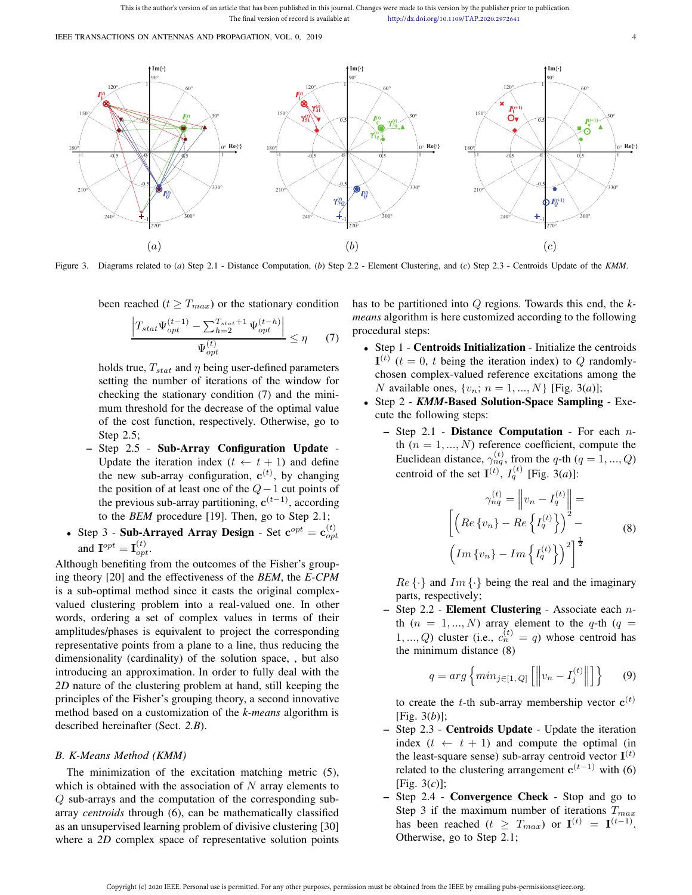IEEE TRANSACTIONS ON ANTENNAS AND PROPAGATION, VOL. 0, 2019 4



Figure 3. Diagrams related to (*a*) Step 2.1 - Distance Computation, (*b*) Step 2.2 - Element Clustering, and (*c*) Step 2.3 - Centroids Update of the *KMM*.

been reached ( $t \geq T_{max}$ ) or the stationary condition

$$
\frac{\left|T_{stat}\Psi_{opt}^{(t-1)} - \sum_{h=2}^{T_{stat}+1} \Psi_{opt}^{(t-h)}\right|}{\Psi_{opt}^{(t)}} \le \eta \qquad (7)
$$

holds true,  $T_{stat}$  and  $\eta$  being user-defined parameters setting the number of iterations of the window for checking the stationary condition (7) and the minimum threshold for the decrease of the optimal value of the cost function, respectively. Otherwise, go to Step 2.5;

- Step 2.5 Sub-Array Configuration Update Update the iteration index  $(t \leftarrow t + 1)$  and define the new sub-array configuration,  $\mathbf{c}^{(t)}$ , by changing the position of at least one of the  $Q-1$  cut points of the previous sub-array partitioning,  $c^{(t-1)}$ , according to the *BEM* procedure [19]. Then, go to Step 2.1;
- Step 3 Sub-Arrayed Array Design Set  $\mathbf{c}^{opt} = \mathbf{c}_{opt}^{(t)}$ and  $\mathbf{I}^{opt} = \mathbf{I}_{opt}^{(t)}$ .

Although benefiting from the outcomes of the Fisher's grouping theory [20] and the effectiveness of the *BEM*, the *E-CPM* is a sub-optimal method since it casts the original complexvalued clustering problem into a real-valued one. In other words, ordering a set of complex values in terms of their amplitudes/phases is equivalent to project the corresponding representative points from a plane to a line, thus reducing the dimensionality (cardinality) of the solution space, , but also introducing an approximation. In order to fully deal with the *2D* nature of the clustering problem at hand, still keeping the principles of the Fisher's grouping theory, a second innovative method based on a customization of the *k-means* algorithm is described hereinafter (Sect. *2.B*).

## *B. K-Means Method (KMM)*

The minimization of the excitation matching metric (5), which is obtained with the association of  $N$  array elements to Q sub-arrays and the computation of the corresponding subarray *centroids* through (6), can be mathematically classified as an unsupervised learning problem of divisive clustering [30] where a *2D* complex space of representative solution points has to be partitioned into Q regions. Towards this end, the *kmeans* algorithm is here customized according to the following procedural steps:

- Step 1 Centroids Initialization Initialize the centroids  $I<sup>(t)</sup>$  ( $t = 0$ ,  $t$  being the iteration index) to  $Q$  randomlychosen complex-valued reference excitations among the *N* available ones,  $\{v_n; n = 1, ..., N\}$  [Fig. 3(*a*)];
- Step 2 **KMM-Based Solution-Space Sampling** Execute the following steps:
	- Step 2.1 *-* Distance Computation For each nth  $(n = 1, ..., N)$  reference coefficient, compute the Euclidean distance,  $\gamma_{nq}^{(t)}$ , from the q-th ( $q = 1, ..., Q$ ) centroid of the set  $I^{(t)}$ ,  $I^{(t)}_q$  [Fig. 3(*a*)]:

$$
\gamma_{nq}^{(t)} = \left\| v_n - I_q^{(t)} \right\| =
$$

$$
\left[ \left( Re \left\{ v_n \right\} - Re \left\{ I_q^{(t)} \right\} \right)^2 - \left( Re \left\{ v_n \right\} - Im \left\{ I_q^{(t)} \right\} \right)^2 \right]^{\frac{1}{2}}
$$
(8)

 $Re\{\cdot\}$  and  $Im\{\cdot\}$  being the real and the imaginary parts, respectively;

– Step 2.2 *-* Element Clustering - Associate each nth  $(n = 1, ..., N)$  array element to the q-th  $(q =$  $1, ..., Q$ ) cluster (i.e.,  $c_n^{(t)} = q$ ) whose centroid has the minimum distance (8)

$$
q = arg \left\{ min_{j \in [1, Q]} \left[ \left\| v_n - I_j^{(t)} \right\| \right] \right\} \tag{9}
$$

to create the *t*-th sub-array membership vector  $\mathbf{c}^{(t)}$ [Fig. 3(*b*)];

- Step 2.3 Centroids Update Update the iteration index  $(t \leftarrow t + 1)$  and compute the optimal (in the least-square sense) sub-array centroid vector  $I^{(t)}$ related to the clustering arrangement  $c^{(t-1)}$  with (6) [Fig. 3(*c*)];
- Step 2.4 Convergence Check Stop and go to Step 3 if the maximum number of iterations  $T_{max}$ has been reached  $(t \geq T_{max})$  or  $\mathbf{I}^{(t)} = \mathbf{I}^{(t-1)}$ . Otherwise, go to Step 2.1;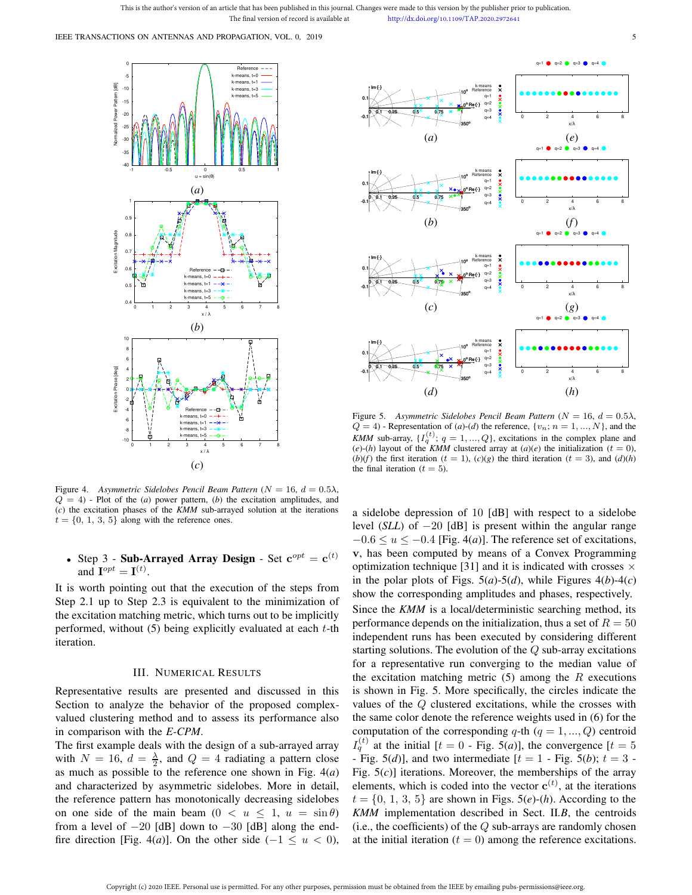This is the author's version of an article that has been published in this journal. Changes were made to this version by the publisher prior to publication The final version of record is available at http://dx.doi.org/10.1109/TAP.2020.2972641

IEEE TRANSACTIONS ON ANTENNAS AND PROPAGATION, VOL. 0, 2019 **55 SEPTEMBER 10 AU 100 SEPTEMBER** 



Figure 4. *Asymmetric Sidelobes Pencil Beam Pattern* ( $N = 16$ ,  $d = 0.5\lambda$ ,  $Q = 4$ ) - Plot of the (*a*) power pattern, (*b*) the excitation amplitudes, and (*c*) the excitation phases of the *KMM* sub-arrayed solution at the iterations  $t = \{0, 1, 3, 5\}$  along with the reference ones.

# • Step 3 - Sub-Arrayed Array Design - Set  $\mathbf{c}^{opt} = \mathbf{c}^{(t)}$ and  $\mathbf{I}^{opt} = \mathbf{I}^{(t)}$ .

It is worth pointing out that the execution of the steps from Step 2.1 up to Step 2.3 is equivalent to the minimization of the excitation matching metric, which turns out to be implicitly performed, without  $(5)$  being explicitly evaluated at each t-th iteration.

## III. NUMERICAL RESULTS

Representative results are presented and discussed in this Section to analyze the behavior of the proposed complexvalued clustering method and to assess its performance also in comparison with the *E-CPM*.

The first example deals with the design of a sub-arrayed array with  $N = 16$ ,  $d = \frac{\lambda}{2}$ , and  $Q = 4$  radiating a pattern close as much as possible to the reference one shown in Fig. 4(*a*) and characterized by asymmetric sidelobes. More in detail, the reference pattern has monotonically decreasing sidelobes on one side of the main beam  $(0 < u \leq 1, u = \sin \theta)$ from a level of  $-20$  [dB] down to  $-30$  [dB] along the endfire direction [Fig. 4(*a*)]. On the other side ( $-1 \le u < 0$ ),



Figure 5. *Asymmetric Sidelobes Pencil Beam Pattern* (N = 16, d = 0.5λ,  $Q = 4$ ) - Representation of  $(a)$ - $(d)$  the reference,  $\{v_n; n = 1, ..., N\}$ , and the *KMM* sub-array,  $\{I_q^{(t)}; q = 1, ..., Q\}$ , excitations in the complex plane and  $(e)$ -(*h*) layout of the *KMM* clustered array at (*a*)(*e*) the initialization ( $t = 0$ ),  $(b)(f)$  the first iteration  $(t = 1)$ ,  $(c)(g)$  the third iteration  $(t = 3)$ , and  $(d)(h)$ the final iteration ( $t = 5$ ).

a sidelobe depression of 10 [dB] with respect to a sidelobe level (*SLL*) of −20 [dB] is present within the angular range  $-0.6 \le u \le -0.4$  [Fig. 4(*a*)]. The reference set of excitations, v, has been computed by means of a Convex Programming optimization technique [31] and it is indicated with crosses  $\times$ in the polar plots of Figs.  $5(a)$ - $5(d)$ , while Figures  $4(b)$ - $4(c)$ show the corresponding amplitudes and phases, respectively. Since the *KMM* is a local/deterministic searching method, its performance depends on the initialization, thus a set of  $R = 50$ independent runs has been executed by considering different starting solutions. The evolution of the  $Q$  sub-array excitations for a representative run converging to the median value of the excitation matching metric  $(5)$  among the R executions is shown in Fig. 5. More specifically, the circles indicate the values of the Q clustered excitations, while the crosses with the same color denote the reference weights used in (6) for the computation of the corresponding q-th  $(q = 1, ..., Q)$  centroid  $I_q^{(t)}$  at the initial [ $t = 0$  - Fig. 5(*a*)], the convergence [ $t = 5$ - Fig. 5(*d*)], and two intermediate  $[t = 1$  - Fig. 5(*b*);  $t = 3$  -Fig. 5(*c*)] iterations. Moreover, the memberships of the array elements, which is coded into the vector  $c^{(t)}$ , at the iterations  $t = \{0, 1, 3, 5\}$  are shown in Figs. 5(*e*)-(*h*). According to the *KMM* implementation described in Sect. II*.B*, the centroids (i.e., the coefficients) of the  $Q$  sub-arrays are randomly chosen at the initial iteration  $(t = 0)$  among the reference excitations.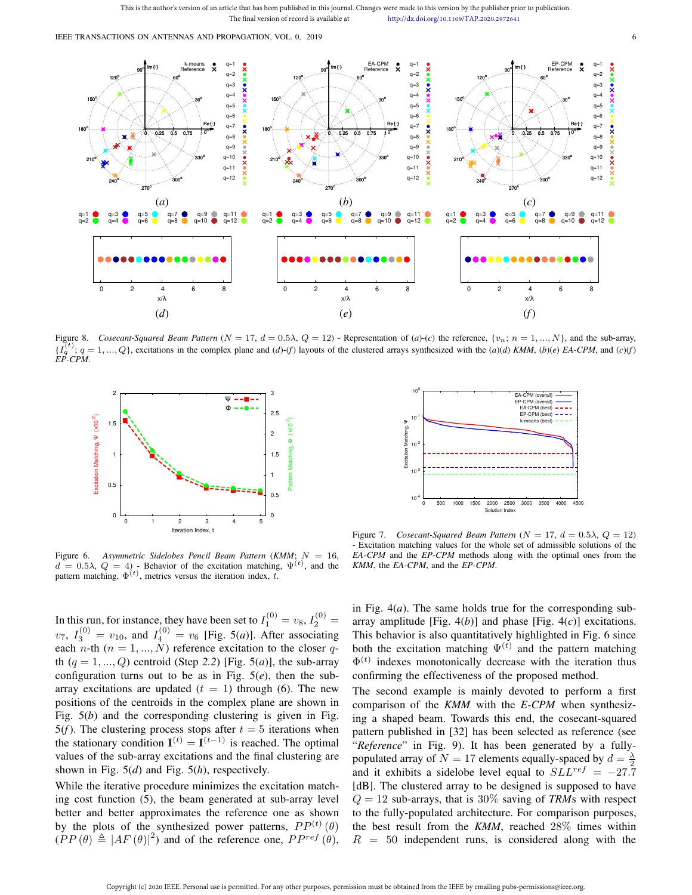This is the author's version of an article that has been published in this journal. Changes were made to this version by the publisher prior to publication. The final version of record is available at http://dx.doi.org/10.1109/TAP.2020.2972641

IEEE TRANSACTIONS ON ANTENNAS AND PROPAGATION, VOL. 0, 2019 6



Figure 8. Cosecant-Squared Beam Pattern  $(N = 17, d = 0.5\lambda, Q = 12)$  - Representation of  $(a)-(c)$  the reference,  $\{v_n; n = 1, ..., N\}$ , and the sub-array,  $\{I_q^{(t)}; q = 1, ..., Q\}$ , excitations in the complex plane and  $(d)$ - $(f)$  layouts of the clustered arrays synthesized with the  $(a)(d)$  KMM,  $(b)(e)$  EA-CPM, and  $(c)(f)$ *EP-CPM*.



 $10^{0}$ EA-CPM (overall) EP-CPM (overall EA-CPM (best) EP-CPM (best) 10-1 k-means (best) Excitation Matching, Ψ Excitation Matching,  $10^{-2}$  $10^{-3}$ 10-4 0 500 1000 1500 2000 2500 3000 3500 4000 4500 Solution Index

Figure 6. *Asymmetric Sidelobes Pencil Beam Pattern* (*KMM*; N = 16,  $d = 0.5\lambda$ ,  $Q = 4$ ) - Behavior of the excitation matching,  $\Psi^{(t)}$ , and the pattern matching,  $\Phi^{(t)}$ , metrics versus the iteration index, t.

Figure 7. *Cosecant-Squared Beam Pattern* ( $N = 17$ ,  $d = 0.5\lambda$ ,  $Q = 12$ ) - Excitation matching values for the whole set of admissible solutions of the *EA-CPM* and the *EP-CPM* methods along with the optimal ones from the *KMM*, the *EA-CPM*, and the *EP-CPM*.

In this run, for instance, they have been set to  $I_1^{(0)} = v_8$ ,  $I_2^{(0)} =$  $v_7$ ,  $I_3^{(0)} = v_{10}$ , and  $I_4^{(0)} = v_6$  [Fig. 5(*a*)]. After associating each n-th ( $n = 1, ..., N$ ) reference excitation to the closer qth  $(q = 1, ..., Q)$  centroid (Step 2.2) [Fig. 5(*a*)], the sub-array configuration turns out to be as in Fig.  $5(e)$ , then the subarray excitations are updated  $(t = 1)$  through (6). The new positions of the centroids in the complex plane are shown in Fig. 5(*b*) and the corresponding clustering is given in Fig. 5(f). The clustering process stops after  $t = 5$  iterations when the stationary condition  $I^{(t)} = I^{(t-1)}$  is reached. The optimal values of the sub-array excitations and the final clustering are shown in Fig. 5(*d*) and Fig. 5(*h*), respectively.

While the iterative procedure minimizes the excitation matching cost function (5), the beam generated at sub-array level better and better approximates the reference one as shown by the plots of the synthesized power patterns,  $PP^{(t)}(\theta)$  $(PP(\theta) \triangleq |AF(\theta)|^2)$  and of the reference one,  $PP^{ref}(\theta)$ ,

in Fig. 4(*a*). The same holds true for the corresponding subarray amplitude [Fig. 4(*b*)] and phase [Fig. 4(*c*)] excitations. This behavior is also quantitatively highlighted in Fig. 6 since both the excitation matching  $\Psi^{(t)}$  and the pattern matching  $\Phi^{(t)}$  indexes monotonically decrease with the iteration thus confirming the effectiveness of the proposed method.

The second example is mainly devoted to perform a first comparison of the *KMM* with the *E-CPM* when synthesizing a shaped beam. Towards this end, the cosecant-squared pattern published in [32] has been selected as reference (see "*Reference*" in Fig. 9). It has been generated by a fullypopulated array of  $N = 17$  elements equally-spaced by  $d = \frac{\lambda}{2}$ and it exhibits a sidelobe level equal to  $SLL^{ref} = -27.7$ [dB]. The clustered array to be designed is supposed to have  $Q = 12$  sub-arrays, that is 30% saving of *TRM*s with respect to the fully-populated architecture. For comparison purposes, the best result from the *KMM*, reached 28% times within  $R = 50$  independent runs, is considered along with the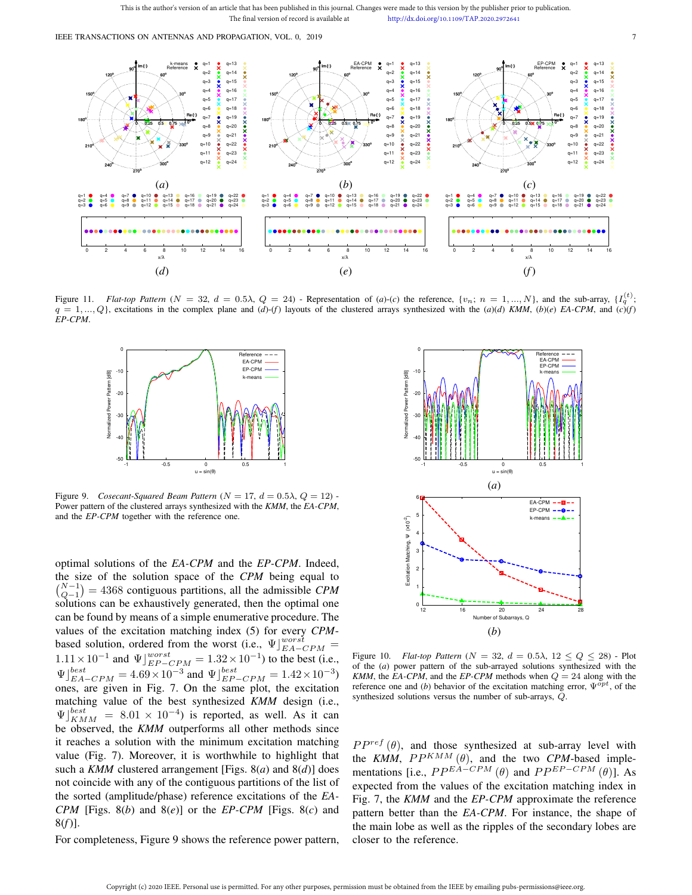IEEE TRANSACTIONS ON ANTENNAS AND PROPAGATION, VOL. 0, 2019 **7** 



Figure 11. *Flat-top Pattern* ( $N = 32$ ,  $d = 0.5\lambda$ ,  $Q = 24$ ) - Representation of (*a*)-(*c*) the reference, { $v_n$ ;  $n = 1, ..., N$ }, and the sub-array, { $I_q^{(t)}$ ;  $q = 1, \ldots, Q$ , excitations in the complex plane and  $(d)-(f)$  layouts of the clustered arrays synthesized with the  $(a)(d)$  *KMM*,  $(b)(e)$  *EA-CPM*, and  $(c)(f)$ *EP-CPM*.



Figure 9. *Cosecant-Squared Beam Pattern* ( $N = 17$ ,  $d = 0.5\lambda$ ,  $Q = 12$ ) -Power pattern of the clustered arrays synthesized with the *KMM*, the *EA-CPM*, and the *EP-CPM* together with the reference one.

optimal solutions of the *EA-CPM* and the *EP-CPM*. Indeed, the size of the solution space of the *CPM* being equal to  $\binom{N-1}{Q-1} = 4368$  contiguous partitions, all the admissible *CPM* solutions can be exhaustively generated, then the optimal one can be found by means of a simple enumerative procedure. The values of the excitation matching index (5) for every *CPM*based solution, ordered from the worst (i.e.,  $\Psi|_{EA-CPM}^{worst} =$ 1.11 × 10<sup>-1</sup> and  $\Psi$ <sub>*EP-CPM*</sub> = 1.32 × 10<sup>-1</sup>) to the best (i.e.,  $\Psi$ ] $_{EA-CPM}^{best} = 4.69 \times 10^{-3}$  and  $\Psi$ ] $_{EP-CPM}^{best} = 1.42 \times 10^{-3}$ ) ones, are given in Fig. 7. On the same plot, the excitation matching value of the best synthesized *KMM* design (i.e.,  $\Psi_{KMM}^{best} = 8.01 \times 10^{-4}$  is reported, as well. As it can be observed, the *KMM* outperforms all other methods since it reaches a solution with the minimum excitation matching value (Fig. 7). Moreover, it is worthwhile to highlight that such a *KMM* clustered arrangement [Figs. 8(*a*) and 8(*d*)] does not coincide with any of the contiguous partitions of the list of the sorted (amplitude/phase) reference excitations of the *EA-CPM* [Figs. 8(*b*) and 8(*e*)] or the *EP-CPM* [Figs. 8(*c*) and 8(*f*)].

For completeness, Figure 9 shows the reference power pattern,



Figure 10. *Flat-top Pattern* ( $N = 32$ ,  $d = 0.5\lambda$ ,  $12 \le Q \le 28$ ) - Plot of the (*a*) power pattern of the sub-arrayed solutions synthesized with the *KMM*, the *EA-CPM*, and the *EP-CPM* methods when  $Q = 24$  along with the reference one and (*b*) behavior of the excitation matching error,  $\Psi^{opt}$ , of the synthesized solutions versus the number of sub-arrays, Q.

 $PP^{ref}(\theta)$ , and those synthesized at sub-array level with the *KMM*,  $PP^{KMM}(\theta)$ , and the two *CPM*-based implementations [i.e.,  $PP^{EA-CPM}(\theta)$  and  $PP^{EP-CPM}(\theta)$ ]. As expected from the values of the excitation matching index in Fig. 7, the *KMM* and the *EP-CPM* approximate the reference pattern better than the *EA-CPM*. For instance, the shape of the main lobe as well as the ripples of the secondary lobes are closer to the reference.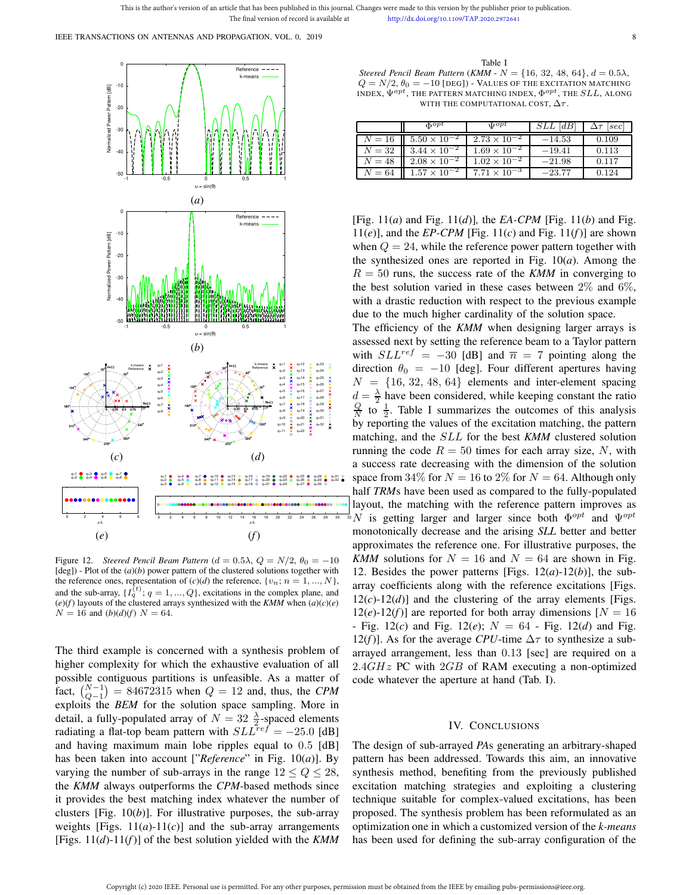This is the author's version of an article that has been published in this journal. Changes were made to this version by the publisher prior to publication The final version of record is available at http://dx.doi.org/10.1109/TAP.2020.2972641

IEEE TRANSACTIONS ON ANTENNAS AND PROPAGATION, VOL. 0, 2019 8



Figure 12. *Steered Pencil Beam Pattern* ( $d = 0.5\lambda$ ,  $Q = N/2$ ,  $\theta_0 = -10$ [deg]) - Plot of the (*a*)(*b*) power pattern of the clustered solutions together with the reference ones, representation of  $(c)(d)$  the reference,  $\{v_n; n = 1, ..., N\}$ , and the sub-array,  $\{I_q^{(t)}; q = 1, ..., Q\}$ , excitations in the complex plane, and  $(e)(f)$  layouts of the clustered arrays synthesized with the *KMM* when  $(a)(c)(e)$  $N = 16$  and  $(b)(d)(f)$   $N = 64$ .

The third example is concerned with a synthesis problem of higher complexity for which the exhaustive evaluation of all possible contiguous partitions is unfeasible. As a matter of fact,  $\binom{N-1}{Q-1} = 84672315$  when  $Q = 12$  and, thus, the *CPM* exploits the *BEM* for the solution space sampling. More in detail, a fully-populated array of  $N = 32 \frac{\lambda}{2}$ -spaced elements radiating a flat-top beam pattern with  $SLL^{ref} = -25.0$  [dB] and having maximum main lobe ripples equal to 0.5 [dB] has been taken into account ["*Reference*" in Fig. 10(*a*)]. By varying the number of sub-arrays in the range  $12 \le Q \le 28$ , the *KMM* always outperforms the *CPM-*based methods since it provides the best matching index whatever the number of clusters [Fig. 10(*b*)]. For illustrative purposes, the sub-array weights [Figs.  $11(a)-11(c)$ ] and the sub-array arrangements [Figs. 11(*d*)-11(*f*)] of the best solution yielded with the *KMM*

*Steered Pencil Beam Pattern* (*KMM - N* = {16, 32, 48, 64},  $d = 0.5\lambda$ ,  $Q = N/2$ ,  $\theta_0 = -10$  [DEG]) - VALUES OF THE EXCITATION MATCHING INDEX,  $\Psi^{opt}$ , the pattern matching index,  $\Phi^{opt}$ , the  $SLL$ , along WITH THE COMPUTATIONAL COST,  $\Delta \tau$ .

Table I

|        | $\Phi^{opt}$          | $\mathbf{U}^{opt}$    | $SLL$ $dB$ | $\Delta\tau$ [sec] |
|--------|-----------------------|-----------------------|------------|--------------------|
| $N=16$ | $5.50 \times 10^{-2}$ | $2.73 \times 10^{-2}$ | $-14.53$   | 0.109              |
| $N=32$ | $3.44 \times 10^{-2}$ | $1.69 \times 10^{-2}$ | $-19.41$   | 0.113              |
| $N=48$ | $2.08 \times 10^{-2}$ | $1.02 \times 10^{-2}$ | $-21.98$   | 0.117              |
| $N=64$ | $1.57 \times 10^{-2}$ | $7.71 \times 10^{-3}$ | $-23.77$   | 0.124              |

[Fig. 11(*a*) and Fig. 11(*d*)]*,* the *EA-CPM* [Fig. 11(*b*) and Fig.  $11(e)$ , and the *EP-CPM* [Fig. 11(*c*) and Fig. 11(*f*)] are shown when  $Q = 24$ , while the reference power pattern together with the synthesized ones are reported in Fig. 10(*a*). Among the  $R = 50$  runs, the success rate of the *KMM* in converging to the best solution varied in these cases between  $2\%$  and  $6\%$ , with a drastic reduction with respect to the previous example due to the much higher cardinality of the solution space.

The efficiency of the *KMM* when designing larger arrays is assessed next by setting the reference beam to a Taylor pattern with  $SLL^{ref} = -30$  [dB] and  $\overline{n} = 7$  pointing along the direction  $\theta_0 = -10$  [deg]. Four different apertures having  $N = \{16, 32, 48, 64\}$  elements and inter-element spacing  $d = \frac{\lambda}{2}$  have been considered, while keeping constant the ratio  $\frac{Q}{N}$  to  $\frac{1}{2}$ . Table I summarizes the outcomes of this analysis by reporting the values of the excitation matching, the pattern matching, and the SLL for the best *KMM* clustered solution running the code  $R = 50$  times for each array size, N, with a success rate decreasing with the dimension of the solution space from 34% for  $N = 16$  to 2% for  $N = 64$ . Although only half *TRM*s have been used as compared to the fully-populated layout, the matching with the reference pattern improves as N is getting larger and larger since both  $\Phi^{opt}$  and  $\Psi^{opt}$ monotonically decrease and the arising *SLL* better and better approximates the reference one. For illustrative purposes, the *KMM* solutions for  $N = 16$  and  $N = 64$  are shown in Fig. 12. Besides the power patterns [Figs.  $12(a)$ - $12(b)$ ], the subarray coefficients along with the reference excitations [Figs.  $12(c)$ -12(*d*)] and the clustering of the array elements [Figs.  $12(e)$ -12(f)] are reported for both array dimensions  $[N = 16]$ - Fig. 12(*c*) and Fig. 12(*e*);  $N = 64$  - Fig. 12(*d*) and Fig. 12(*f*)]. As for the average *CPU*-time  $\Delta \tau$  to synthesize a subarrayed arrangement, less than 0.13 [sec] are required on a  $2.4GHz$  PC with  $2GB$  of RAM executing a non-optimized code whatever the aperture at hand (Tab. I).

## IV. CONCLUSIONS

The design of sub-arrayed *PA*s generating an arbitrary-shaped pattern has been addressed. Towards this aim, an innovative synthesis method, benefiting from the previously published excitation matching strategies and exploiting a clustering technique suitable for complex-valued excitations, has been proposed. The synthesis problem has been reformulated as an optimization one in which a customized version of the *k-means* has been used for defining the sub-array configuration of the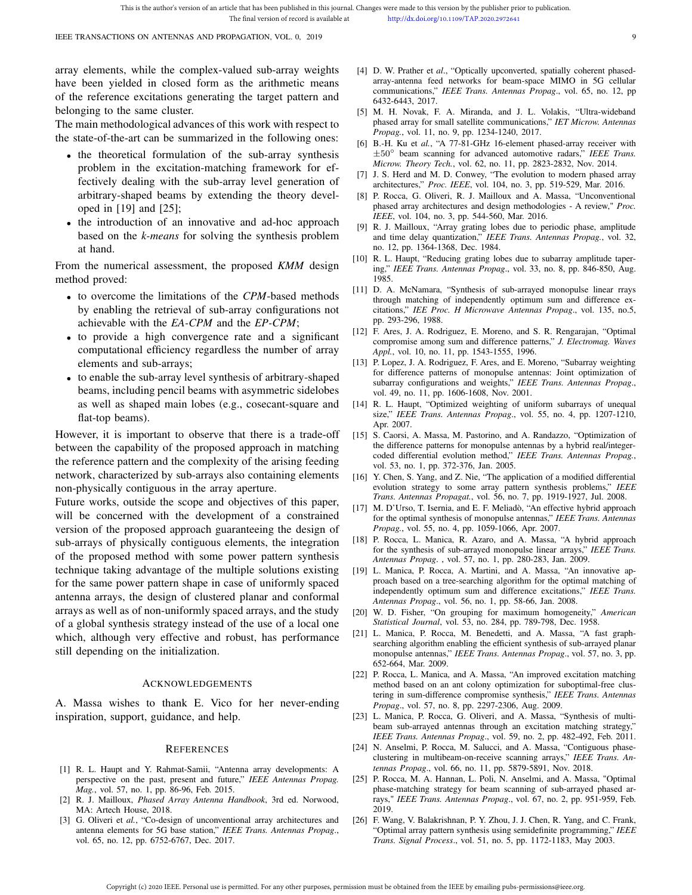IEEE TRANSACTIONS ON ANTENNAS AND PROPAGATION, VOL. 0, 2019 99

array elements, while the complex-valued sub-array weights have been yielded in closed form as the arithmetic means of the reference excitations generating the target pattern and belonging to the same cluster.

The main methodological advances of this work with respect to the state-of-the-art can be summarized in the following ones:

- the theoretical formulation of the sub-array synthesis problem in the excitation-matching framework for effectively dealing with the sub-array level generation of arbitrary-shaped beams by extending the theory developed in [19] and [25];
- the introduction of an innovative and ad-hoc approach based on the *k-means* for solving the synthesis problem at hand.

From the numerical assessment, the proposed *KMM* design method proved:

- to overcome the limitations of the *CPM*-based methods by enabling the retrieval of sub-array configurations not achievable with the *EA-CPM* and the *EP-CPM*;
- to provide a high convergence rate and a significant computational efficiency regardless the number of array elements and sub-arrays;
- to enable the sub-array level synthesis of arbitrary-shaped beams, including pencil beams with asymmetric sidelobes as well as shaped main lobes (e.g., cosecant-square and flat-top beams).

However, it is important to observe that there is a trade-off between the capability of the proposed approach in matching the reference pattern and the complexity of the arising feeding network, characterized by sub-arrays also containing elements non-physically contiguous in the array aperture.

Future works, outside the scope and objectives of this paper, will be concerned with the development of a constrained version of the proposed approach guaranteeing the design of sub-arrays of physically contiguous elements, the integration of the proposed method with some power pattern synthesis technique taking advantage of the multiple solutions existing for the same power pattern shape in case of uniformly spaced antenna arrays, the design of clustered planar and conformal arrays as well as of non-uniformly spaced arrays, and the study of a global synthesis strategy instead of the use of a local one which, although very effective and robust, has performance still depending on the initialization.

### ACKNOWLEDGEMENTS

A. Massa wishes to thank E. Vico for her never-ending inspiration, support, guidance, and help.

#### **REFERENCES**

- [1] R. L. Haupt and Y. Rahmat-Samii, "Antenna array developments: A perspective on the past, present and future," *IEEE Antennas Propag. Mag.*, vol. 57, no. 1, pp. 86-96, Feb. 2015.
- [2] R. J. Mailloux, *Phased Array Antenna Handbook*, 3rd ed. Norwood, MA: Artech House, 2018.
- [3] G. Oliveri et *al.*, "Co-design of unconventional array architectures and antenna elements for 5G base station," *IEEE Trans. Antennas Propag*., vol. 65, no. 12, pp. 6752-6767, Dec. 2017.
- [4] D. W. Prather et *al*., "Optically upconverted, spatially coherent phasedarray-antenna feed networks for beam-space MIMO in 5G cellular communications," *IEEE Trans. Antennas Propag*., vol. 65, no. 12, pp 6432-6443, 2017.
- [5] M. H. Novak, F. A. Miranda, and J. L. Volakis, "Ultra-wideband phased array for small satellite communications," *IET Microw. Antennas Propag.*, vol. 11, no. 9, pp. 1234-1240, 2017.
- [6] B.-H. Ku et *al.*, "A 77-81-GHz 16-element phased-array receiver with ±50◦ beam scanning for advanced automotive radars," *IEEE Trans. Microw. Theory Tech.*, vol. 62, no. 11, pp. 2823-2832, Nov. 2014.
- [7] J. S. Herd and M. D. Conwey, "The evolution to modern phased array architectures," *Proc. IEEE*, vol. 104, no. 3, pp. 519-529, Mar. 2016.
- [8] P. Rocca, G. Oliveri, R. J. Mailloux and A. Massa, "Unconventional phased array architectures and design methodologies - A review," *Proc. IEEE*, vol. 104, no. 3, pp. 544-560, Mar. 2016.
- [9] R. J. Mailloux, "Array grating lobes due to periodic phase, amplitude and time delay quantization," *IEEE Trans. Antennas Propag.*, vol. 32, no. 12, pp. 1364-1368, Dec. 1984.
- [10] R. L. Haupt, "Reducing grating lobes due to subarray amplitude tapering," *IEEE Trans. Antennas Propag*., vol. 33, no. 8, pp. 846-850, Aug. 1985.
- [11] D. A. McNamara, "Synthesis of sub-arrayed monopulse linear rrays through matching of independently optimum sum and difference excitations," *IEE Proc. H Microwave Antennas Propag*., vol. 135, no.5, pp. 293-296, 1988.
- [12] F. Ares, J. A. Rodriguez, E. Moreno, and S. R. Rengarajan, "Optimal compromise among sum and difference patterns," *J. Electromag. Waves Appl.*, vol. 10, no. 11, pp. 1543-1555, 1996.
- [13] P. Lopez, J. A. Rodriguez, F. Ares, and E. Moreno, "Subarray weighting for difference patterns of monopulse antennas: Joint optimization of subarray configurations and weights," *IEEE Trans. Antennas Propag*., vol. 49, no. 11, pp. 1606-1608, Nov. 2001.
- [14] R. L. Haupt, "Optimized weighting of uniform subarrays of unequal size," *IEEE Trans. Antennas Propag*., vol. 55, no. 4, pp. 1207-1210, Apr. 2007.
- [15] S. Caorsi, A. Massa, M. Pastorino, and A. Randazzo, "Optimization of the difference patterns for monopulse antennas by a hybrid real/integercoded differential evolution method," *IEEE Trans. Antennas Propag.*, vol. 53, no. 1, pp. 372-376, Jan. 2005.
- [16] Y. Chen, S. Yang, and Z. Nie, "The application of a modified differential evolution strategy to some array pattern synthesis problems," *IEEE Trans. Antennas Propagat.*, vol. 56, no. 7, pp. 1919-1927, Jul. 2008.
- [17] M. D'Urso, T. Isernia, and E. F. Meliadò, "An effective hybrid approach for the optimal synthesis of monopulse antennas," *IEEE Trans. Antennas Propag.*, vol. 55, no. 4, pp. 1059-1066, Apr. 2007.
- [18] P. Rocca, L. Manica, R. Azaro, and A. Massa, "A hybrid approach for the synthesis of sub-arrayed monopulse linear arrays," *IEEE Trans. Antennas Propag*. , vol. 57, no. 1, pp. 280-283, Jan. 2009.
- [19] L. Manica, P. Rocca, A. Martini, and A. Massa, "An innovative approach based on a tree-searching algorithm for the optimal matching of independently optimum sum and difference excitations," *IEEE Trans. Antennas Propag*., vol. 56, no. 1, pp. 58-66, Jan. 2008.
- [20] W. D. Fisher, "On grouping for maximum homogeneity," *American Statistical Journal*, vol. 53, no. 284, pp. 789-798, Dec. 1958.
- [21] L. Manica, P. Rocca, M. Benedetti, and A. Massa, "A fast graphsearching algorithm enabling the efficient synthesis of sub-arrayed planar monopulse antennas," *IEEE Trans. Antennas Propag*., vol. 57, no. 3, pp. 652-664, Mar. 2009.
- [22] P. Rocca, L. Manica, and A. Massa, "An improved excitation matching method based on an ant colony optimization for suboptimal-free clustering in sum-difference compromise synthesis," *IEEE Trans. Antennas Propag*., vol. 57, no. 8, pp. 2297-2306, Aug. 2009.
- [23] L. Manica, P. Rocca, G. Oliveri, and A. Massa, "Synthesis of multibeam sub-arrayed antennas through an excitation matching strategy," *IEEE Trans. Antennas Propag*., vol. 59, no. 2, pp. 482-492, Feb. 2011.
- [24] N. Anselmi, P. Rocca, M. Salucci, and A. Massa, "Contiguous phaseclustering in multibeam-on-receive scanning arrays," *IEEE Trans. Antennas Propag*., vol. 66, no. 11, pp. 5879-5891, Nov. 2018.
- [25] P. Rocca, M. A. Hannan, L. Poli, N. Anselmi, and A. Massa, "Optimal phase-matching strategy for beam scanning of sub-arrayed phased arrays," *IEEE Trans. Antennas Propag*., vol. 67, no. 2, pp. 951-959, Feb. 2019.
- [26] F. Wang, V. Balakrishnan, P. Y. Zhou, J. J. Chen, R. Yang, and C. Frank, "Optimal array pattern synthesis using semidefinite programming," *IEEE Trans. Signal Process*., vol. 51, no. 5, pp. 1172-1183, May 2003.